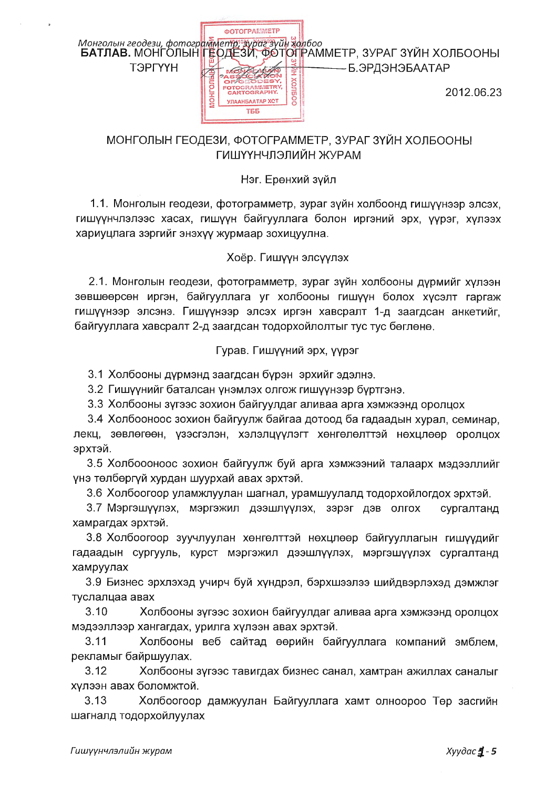

# МОНГОЛЫН ГЕОДЕЗИ, ФОТОГРАММЕТР, ЗУРАГ ЗҮЙН ХОЛБООНЫ ГИШҮҮНЧЛЭЛИЙН ЖУРАМ

## Нэг. Ерөнхий зүйл

1.1. Монголын геодези, фотограмметр, зураг зүйн холбоонд гишүүнээр элсэх, гишүүнчлэлээс хасах, гишүүн байгууллага болон иргэний эрх, үүрэг, хүлээх хариуцлага зэргийг энэхүү жүрмаар зохицуулна.

## Хоёр. Гишүүн элсүүлэх

2.1. Монголын геодези, фотограмметр, зураг зүйн холбооны дүрмийг хүлээн зөвшөөрсөн иргэн, байгууллага уг холбооны гишүүн болох хүсэлт гаргаж гишүүнээр элсэнэ. Гишүүнээр элсэх иргэн хавсралт 1-д заагдсан анкетийг, байгууллага хавсралт 2-д заагдсан тодорхойлолтыг тус тус бөглөнө.

## Гурав. Гишүүний эрх, үүрэг

3.1 Холбооны дүрмэнд заагдсан бүрэн эрхийг эдэлнэ.

3.2 Гишүүнийг баталсан үнэмлэх олгож гишүүнээр бүртгэнэ.

3.3 Холбооны зүгээс зохион байгуулдаг аливаа арга хэмжээнд оролцох

3.4 Холбооноос зохион байгуулж байгаа дотоод ба гадаадын хурал, семинар, лекц, зөвлөгөөн, үзэсгэлэн, хэлэлцүүлэгт хөнгөлөлттэй нөхцлөөр оролцох эрхтэй.

3.5 Холбоооноос зохион байгуулж буй арга хэмжээний талаарх мэдээллийг үнэ төлбөргүй хурдан шуурхай авах эрхтэй.

3.6 Холбоогоор уламжлуулан шагнал, урамшуулалд тодорхойлогдох эрхтэй.

3.7 Мэргэшүүлэх, мэргэжил дээшлүүлэх, зэрэг дэв олгох сургалтанд хамрагдах эрхтэй.

3.8 Холбоогоор зуучлуулан хөнгөлттэй нөхцлөөр байгууллагын гишүүдийг гадаадын сургууль, курст мэргэжил дээшлүүлэх, мэргэшүүлэх сургалтанд хамруулах

3.9 Бизнес эрхлэхэд учирч буй хүндрэл, бэрхшээлээ шийдвэрлэхэд дэмжлэг туслалцаа авах

 $3.10$ Холбооны зүгээс зохион байгуулдаг аливаа арга хэмжээнд оролцох мэдээллээр хангагдах, урилга хүлээн авах эрхтэй.

Холбооны веб сайтад өөрийн байгууллага компаний эмблем,  $3.11$ рекламыг байршуулах.

Холбооны зүгээс тавигдах бизнес санал, хамтран ажиллах саналыг  $3.12$ хүлээн авах боломжтой.

 $3.13$ Холбоогоор дамжуулан Байгууллага хамт олноороо Төр засгийн шагналд тодорхойлуулах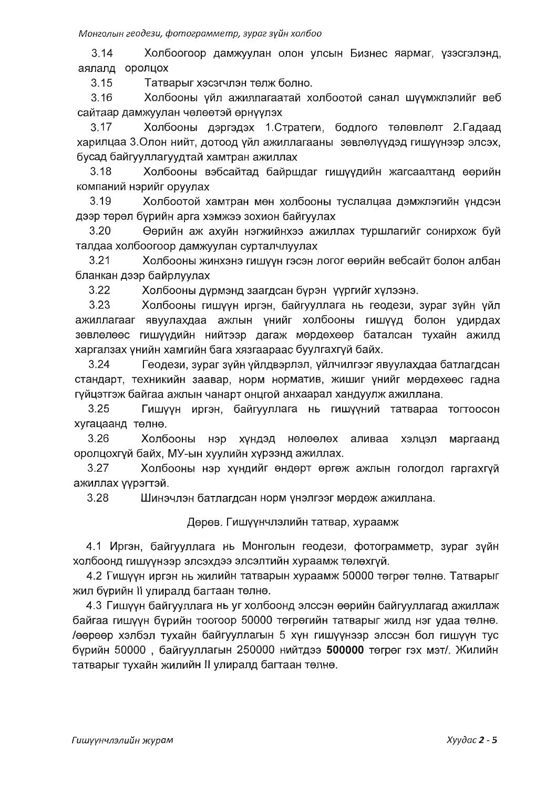$3.14$ Холбоогоор дамжуулан олон улсын Бизнес яармаг, үзэсгэлэнд, аялалд оролцох

Татварыг хэсэгчлэн төлж болно.  $3.15$ 

 $3.16$ Холбооны үйл ажиллагаатай холбоотой санал шүүмжлэлийг веб сайтаар дамжуулан чөлөөтэй өрнүүлэх

Холбооны дэргэдэх 1. Стратеги, бодлого төлөвлөлт 2. Гадаад  $3.17$ харилцаа 3. Олон нийт, дотоод үйл ажиллагааны зөвлөлүүдэд гишүүнээр элсэх, бусад байгууллагуудтай хамтран ажиллах

Холбооны вэбсайтад байршдаг гишүүдийн жагсаалтанд өөрийн  $3.18$ компаний нэрийг оруулах

Холбоотой хамтран мөн холбооны туслалцаа дэмжлэгийн үндсэн  $3.19$ дээр төрөл бүрийн арга хэмжээ зохион байгуулах

Өөрийн аж ахуйн нэгжийнхээ ажиллах туршлагийг сонирхож буй 3.20 талдаа холбоогоор дамжуулан сурталчлуулах

 $3.21$ Холбооны жинхэнэ гишүүн гэсэн логог өөрийн вебсайт болон албан бланкан дээр байрлуулах

 $3.22$ Холбооны дүрмэнд заагдсан бүрэн үүргийг хүлээнэ.

 $3.23$ Холбооны гишүүн иргэн, байгууллага нь геодези, зураг зүйн үйл ажиллагааг явуулахдаа ажлын үнийг холбооны гишүүд болон удирдах зөвлөлөөс гишүүдийн нийтээр дагаж мөрдөхөөр баталсан тухайн ажилд харгалзах үнийн хамгийн бага хязгаараас буулгахгүй байх.

 $3.24$ Геодези, зураг зүйн үйлдвэрлэл, үйлчилгээг явуулахдаа батлагдсан стандарт, техникийн заавар, норм норматив, жишиг үнийг мөрдөхөөс гадна гүйцэтгэж байгаа ажлын чанарт онцгой анхаарал хандуулж ажиллана.

 $3.25$ Гишүүн иргэн, байгууллага нь гишүүний татвараа тогтоосон хугацаанд төлнө.

 $3.26$ Холбооны нэр хүндэд нөлөөлөх аливаа хэлцэл маргаанд оролцохгүй байх, МУ-ын хуулийн хүрээнд ажиллах.

 $3.27$ Холбооны нэр хүндийг өндөрт өргөж ажлын гологдол гаргахгүй ажиллах үүрэгтэй.

Шинэчлэн батлагдсан норм үнэлгээг мөрдөж ажиллана. 3.28

Дөрөв. Гишүүнчлэлийн татвар, хураамж

4.1 Иргэн, байгууллага нь Монголын геодези, фотограмметр, зураг зүйн холбоонд гишүүнээр элсэхдээ элсэлтийн хураамж төлөхгүй.

4.2 Гишүүн иргэн нь жилийн татварын хураамж 50000 төгрөг төлнө. Татварыг жил бүрийн II улиралд багтаан төлнө.

4.3 Гишүүн байгууллага нь уг холбоонд элссэн өөрийн байгууллагад ажиллаж байгаа гишүүн бүрийн тоогоор 50000 төгрөгийн татварыг жилд нэг удаа төлнө. /өөрөөр хэлбэл тухайн байгууллагын 5 хүн гишүүнээр элссэн бол гишүүн тус бүрийн 50000, байгууллагын 250000 нийтдээ 500000 төгрөг гэх мэт/. Жилийн татварыг тухайн жилийн II улиралд багтаан төлнө.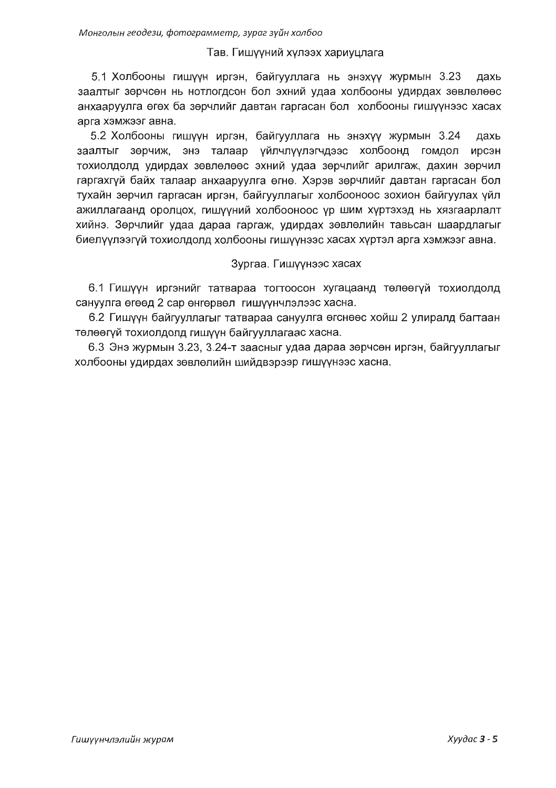#### Тав. Гишүүний хүлээх хариуцлага

5.1 Холбооны гишүүн иргэн, байгууллага нь энэхүү журмын 3.23 дахь заалтыг зөрчсөн нь нотлогдсон бол эхний удаа холбооны удирдах зөвлөлөөс анхааруулга өгөх ба зөрчлийг давтан гаргасан бол холбооны гишүүнээс хасах арга хэмжээг авна.

5.2 Холбооны гишүүн иргэн, байгууллага нь энэхүү журмын 3.24 дахь заалтыг зөрчиж, энэ талаар үйлчлүүлэгчдээс холбоонд гомдол ирсэн тохиолдолд удирдах зөвлөлөөс эхний удаа зөрчлийг арилгаж, дахин зөрчил гаргахгуй байх талаар анхааруулга өгнө. Хэрэв зөрчлийг давтан гаргасан бол тухайн зөрчил гаргасан иргэн, байгууллагыг холбооноос зохион байгуулах үйл ажиллагаанд оролцох, гишүүний холбооноос үр шим хүртэхэд нь хязгаарлалт хийнэ. Зөрчлийг удаа дараа гаргаж, удирдах зөвлөлийн тавьсан шаардлагыг биелүүлээгүй тохиолдолд холбооны гишүүнээс хасах хүртэл арга хэмжээг авна.

#### Зургаа. Гишүүнээс хасах

6.1 Гишуун иргэнийг татвараа тогтоосон хугацаанд төлөөгүй тохиолдолд сануулга өгөөд 2 сар өнгөрвөл гишүүнчлэлээс хасна.

6.2 Гишүүн байгууллагыг татвараа сануулга өгснөөс хойш 2 улиралд багтаан төлөөгүй тохиолдолд гишүүн байгууллагаас хасна.

6.3 Энэ журмын 3.23, 3.24-т заасныг удаа дараа зөрчсөн иргэн, байгууллагыг холбооны удирдах зөвлөлийн шийдвэрээр гишүүнээс хасна.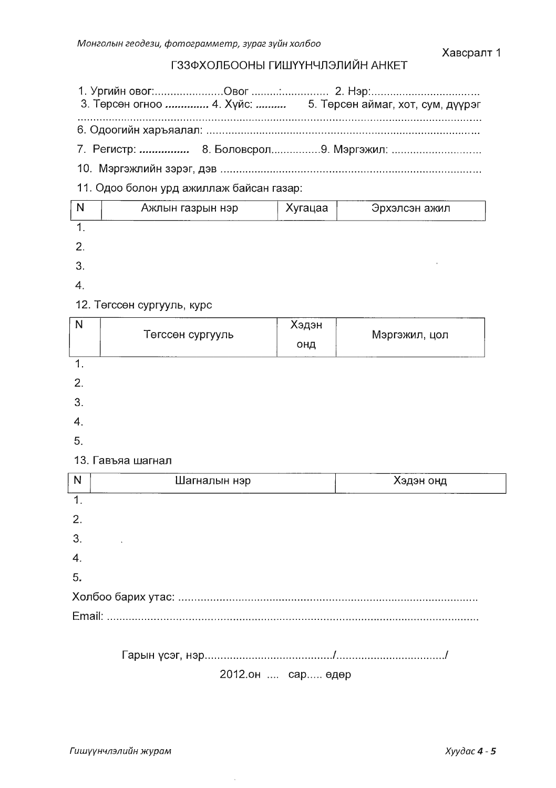# ГЗЗФХОЛБООНЫ ГИШҮҮНЧЛЭЛИЙН АНКЕТ

|                                          |  | 7. Регистр:  8. Боловсрол 9. Мэргэжил: |  |  |  |  |  |  |  |  |
|------------------------------------------|--|----------------------------------------|--|--|--|--|--|--|--|--|
|                                          |  |                                        |  |  |  |  |  |  |  |  |
| 11. Одоо болон урд ажиллаж байсан газар: |  |                                        |  |  |  |  |  |  |  |  |
|                                          |  |                                        |  |  |  |  |  |  |  |  |

| N | Ажлын газрын нэр | Хугацаа | Эрхэлсэн ажил |  |
|---|------------------|---------|---------------|--|
|   |                  |         |               |  |
|   |                  |         |               |  |
|   |                  |         |               |  |
|   |                  |         |               |  |

# 12. Төгссөн сургууль, курс

| N  | Төгссөн сургууль  | Хэдэн<br>онд | Мэргэжил, цол |
|----|-------------------|--------------|---------------|
| 1. |                   |              |               |
| 2. |                   |              |               |
| 3. |                   |              |               |
| 4. |                   |              |               |
| 5. |                   |              |               |
|    | 13. Гавъяа шагнал |              |               |

| N                | Шагналын нэр | Хэдэн онд |
|------------------|--------------|-----------|
| $\mathbf 1$      |              |           |
| $\overline{2}$ . |              |           |
| 3.               |              |           |
| $\overline{4}$   |              |           |
| 5.               |              |           |
|                  |              |           |
|                  |              |           |
|                  |              |           |
|                  |              |           |

2012.он .... сар..... өдөр

 $\sim$